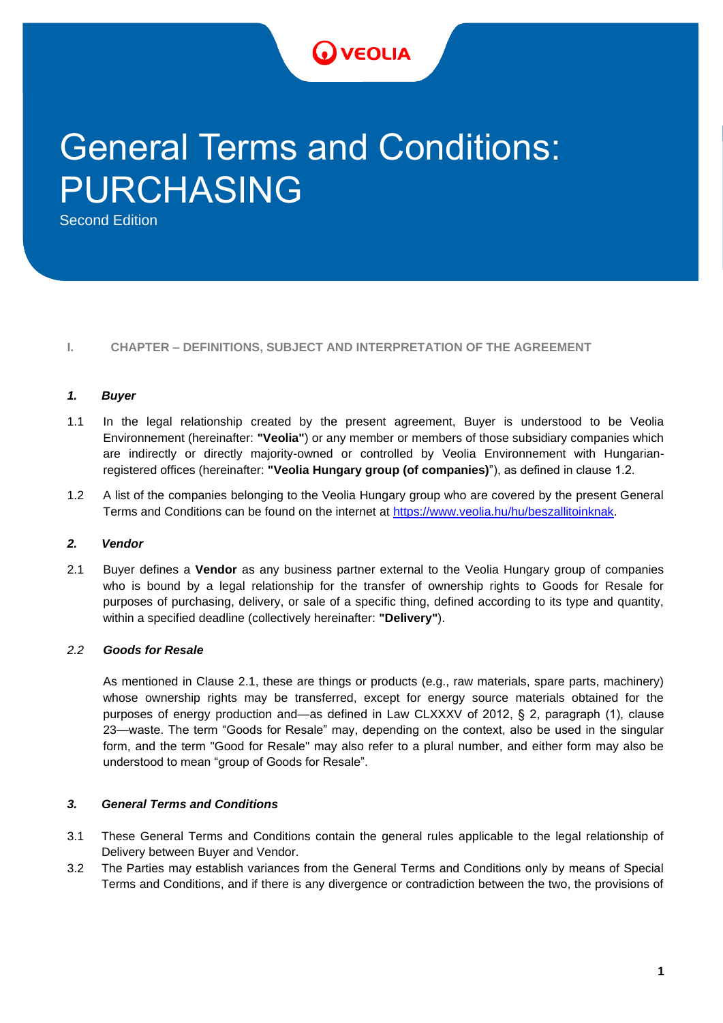# **VEOLIA** *II. edition – 6/2020 State Administrative Measures Annex 1.*

# General Terms and Conditions: PURCHASING

Second Edition

#### **I. CHAPTER – DEFINITIONS, SUBJECT AND INTERPRETATION OF THE AGREEMENT**

#### *1. Buyer*

- 1.1 In the legal relationship created by the present agreement, Buyer is understood to be Veolia Environnement (hereinafter: **"Veolia"**) or any member or members of those subsidiary companies which are indirectly or directly majority-owned or controlled by Veolia Environnement with Hungarianregistered offices (hereinafter: **"Veolia Hungary group (of companies)**"), as defined in clause 1.2.
- 1.2 A list of the companies belonging to the Veolia Hungary group who are covered by the present General Terms and Conditions can be found on the internet at https://www.veolia.hu/hu/beszallitoinknak.

#### *2. Vendor*

2.1 Buyer defines a **Vendor** as any business partner external to the Veolia Hungary group of companies who is bound by a legal relationship for the transfer of ownership rights to Goods for Resale for purposes of purchasing, delivery, or sale of a specific thing, defined according to its type and quantity, within a specified deadline (collectively hereinafter: **"Delivery"**).

#### *2.2 Goods for Resale*

As mentioned in Clause 2.1, these are things or products (e.g., raw materials, spare parts, machinery) whose ownership rights may be transferred, except for energy source materials obtained for the purposes of energy production and—as defined in Law CLXXXV of 2012, § 2, paragraph (1), clause 23—waste. The term "Goods for Resale" may, depending on the context, also be used in the singular form, and the term "Good for Resale" may also refer to a plural number, and either form may also be understood to mean "group of Goods for Resale".

#### *3. General Terms and Conditions*

- 3.1 These General Terms and Conditions contain the general rules applicable to the legal relationship of Delivery between Buyer and Vendor.
- 3.2 The Parties may establish variances from the General Terms and Conditions only by means of Special Terms and Conditions, and if there is any divergence or contradiction between the two, the provisions of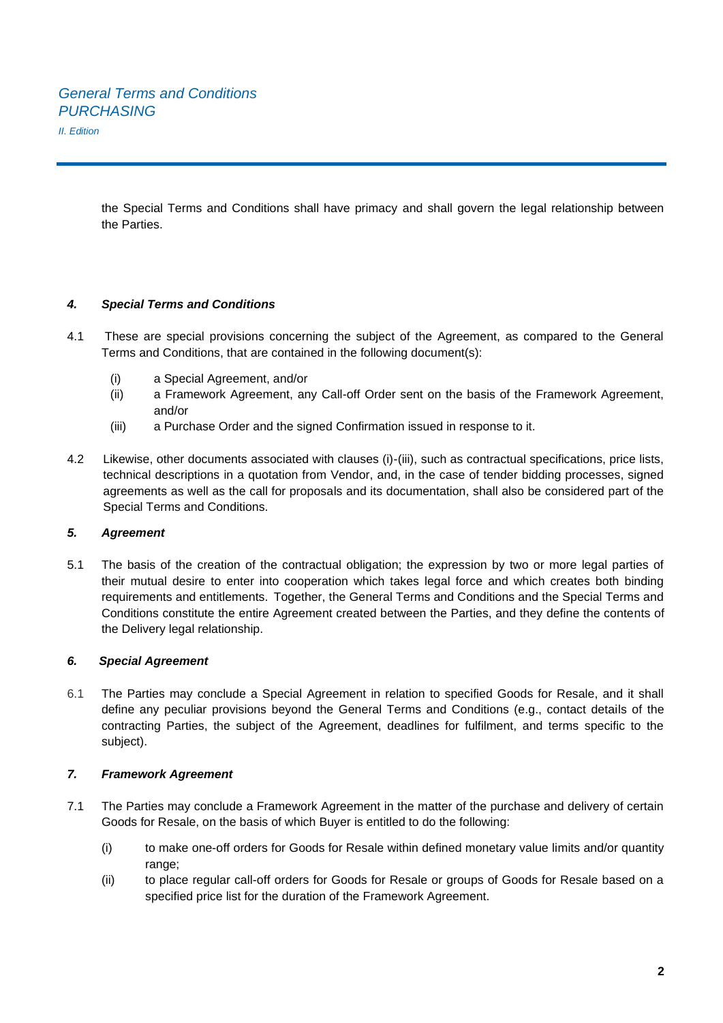the Special Terms and Conditions shall have primacy and shall govern the legal relationship between the Parties.

#### *4. Special Terms and Conditions*

- 4.1 These are special provisions concerning the subject of the Agreement, as compared to the General Terms and Conditions, that are contained in the following document(s):
	- (i) a Special Agreement, and/or
	- (ii) a Framework Agreement, any Call-off Order sent on the basis of the Framework Agreement, and/or
	- (iii) a Purchase Order and the signed Confirmation issued in response to it.
- 4.2 Likewise, other documents associated with clauses (i)-(iii), such as contractual specifications, price lists, technical descriptions in a quotation from Vendor, and, in the case of tender bidding processes, signed agreements as well as the call for proposals and its documentation, shall also be considered part of the Special Terms and Conditions.

#### *5. Agreement*

5.1 The basis of the creation of the contractual obligation; the expression by two or more legal parties of their mutual desire to enter into cooperation which takes legal force and which creates both binding requirements and entitlements. Together, the General Terms and Conditions and the Special Terms and Conditions constitute the entire Agreement created between the Parties, and they define the contents of the Delivery legal relationship.

#### *6. Special Agreement*

6.1 The Parties may conclude a Special Agreement in relation to specified Goods for Resale, and it shall define any peculiar provisions beyond the General Terms and Conditions (e.g., contact details of the contracting Parties, the subject of the Agreement, deadlines for fulfilment, and terms specific to the subject).

#### *7. Framework Agreement*

- 7.1 The Parties may conclude a Framework Agreement in the matter of the purchase and delivery of certain Goods for Resale, on the basis of which Buyer is entitled to do the following:
	- (i) to make one-off orders for Goods for Resale within defined monetary value limits and/or quantity range;
	- (ii) to place regular call-off orders for Goods for Resale or groups of Goods for Resale based on a specified price list for the duration of the Framework Agreement.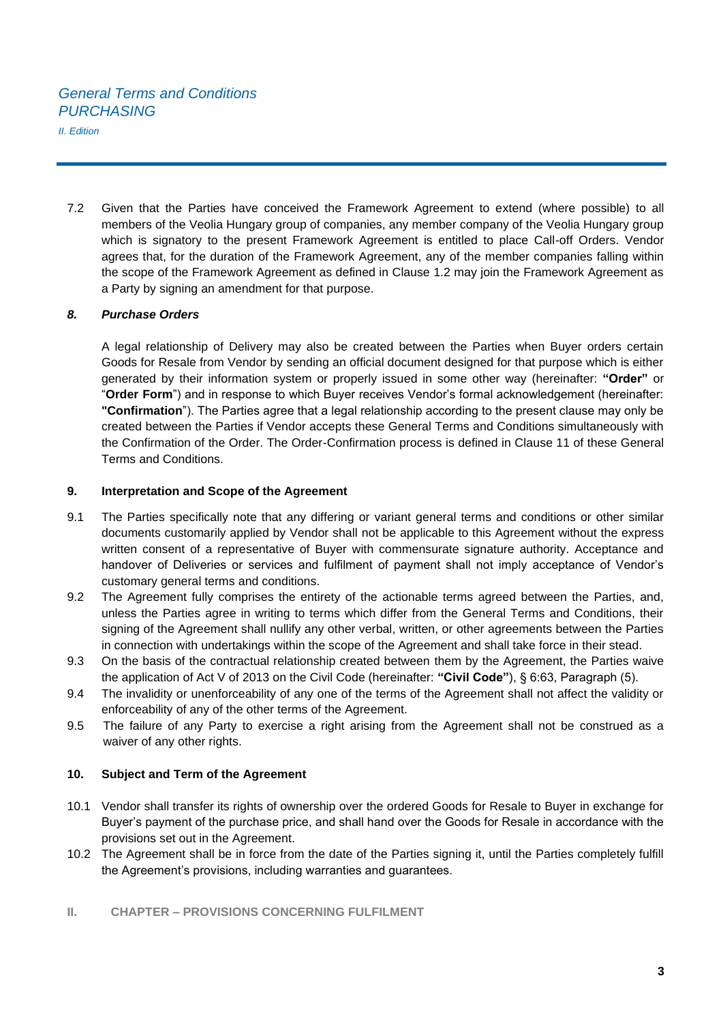7.2 Given that the Parties have conceived the Framework Agreement to extend (where possible) to all members of the Veolia Hungary group of companies, any member company of the Veolia Hungary group which is signatory to the present Framework Agreement is entitled to place Call-off Orders. Vendor agrees that, for the duration of the Framework Agreement, any of the member companies falling within the scope of the Framework Agreement as defined in Clause 1.2 may join the Framework Agreement as a Party by signing an amendment for that purpose.

#### *8. Purchase Orders*

A legal relationship of Delivery may also be created between the Parties when Buyer orders certain Goods for Resale from Vendor by sending an official document designed for that purpose which is either generated by their information system or properly issued in some other way (hereinafter: **"Order"** or "**Order Form**") and in response to which Buyer receives Vendor's formal acknowledgement (hereinafter: **"Confirmation**"). The Parties agree that a legal relationship according to the present clause may only be created between the Parties if Vendor accepts these General Terms and Conditions simultaneously with the Confirmation of the Order. The Order-Confirmation process is defined in Clause 11 of these General Terms and Conditions.

#### **9. Interpretation and Scope of the Agreement**

- 9.1 The Parties specifically note that any differing or variant general terms and conditions or other similar documents customarily applied by Vendor shall not be applicable to this Agreement without the express written consent of a representative of Buyer with commensurate signature authority. Acceptance and handover of Deliveries or services and fulfilment of payment shall not imply acceptance of Vendor's customary general terms and conditions.
- 9.2 The Agreement fully comprises the entirety of the actionable terms agreed between the Parties, and, unless the Parties agree in writing to terms which differ from the General Terms and Conditions, their signing of the Agreement shall nullify any other verbal, written, or other agreements between the Parties in connection with undertakings within the scope of the Agreement and shall take force in their stead.
- 9.3 On the basis of the contractual relationship created between them by the Agreement, the Parties waive the application of Act V of 2013 on the Civil Code (hereinafter: **"Civil Code"**), § 6:63, Paragraph (5).
- 9.4 The invalidity or unenforceability of any one of the terms of the Agreement shall not affect the validity or enforceability of any of the other terms of the Agreement.
- 9.5 The failure of any Party to exercise a right arising from the Agreement shall not be construed as a waiver of any other rights.

#### **10. Subject and Term of the Agreement**

- 10.1 Vendor shall transfer its rights of ownership over the ordered Goods for Resale to Buyer in exchange for Buyer's payment of the purchase price, and shall hand over the Goods for Resale in accordance with the provisions set out in the Agreement.
- 10.2 The Agreement shall be in force from the date of the Parties signing it, until the Parties completely fulfill the Agreement's provisions, including warranties and guarantees.
- **II. CHAPTER – PROVISIONS CONCERNING FULFILMENT**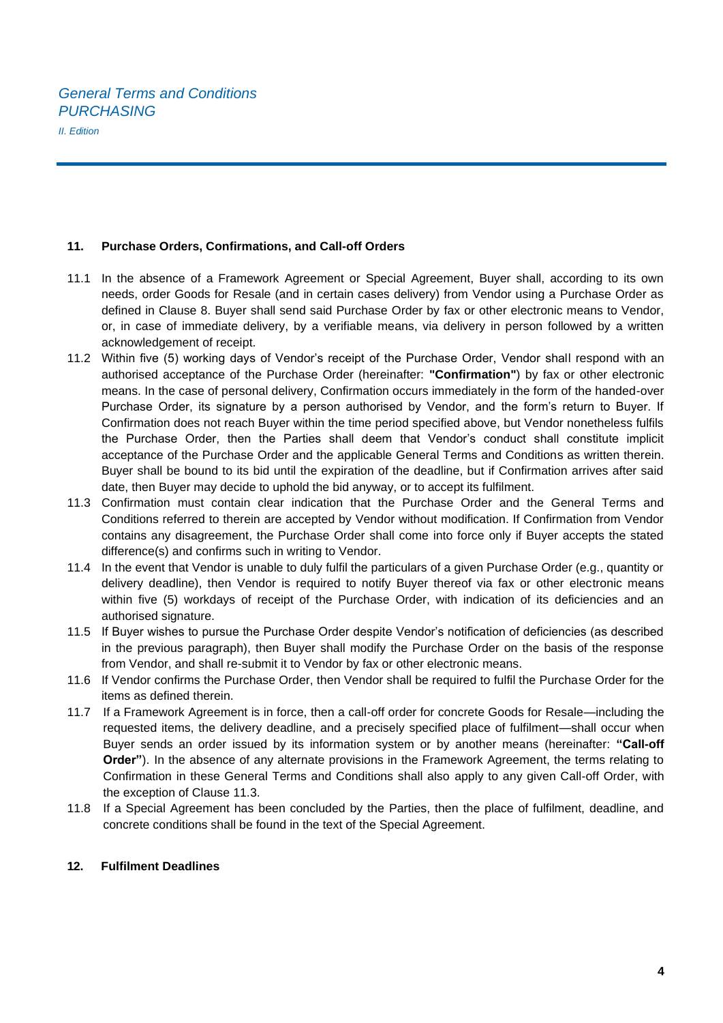#### **11. Purchase Orders, Confirmations, and Call-off Orders**

- 11.1 In the absence of a Framework Agreement or Special Agreement, Buyer shall, according to its own needs, order Goods for Resale (and in certain cases delivery) from Vendor using a Purchase Order as defined in Clause 8. Buyer shall send said Purchase Order by fax or other electronic means to Vendor, or, in case of immediate delivery, by a verifiable means, via delivery in person followed by a written acknowledgement of receipt.
- 11.2 Within five (5) working days of Vendor's receipt of the Purchase Order, Vendor shall respond with an authorised acceptance of the Purchase Order (hereinafter: **"Confirmation"**) by fax or other electronic means. In the case of personal delivery, Confirmation occurs immediately in the form of the handed-over Purchase Order, its signature by a person authorised by Vendor, and the form's return to Buyer. If Confirmation does not reach Buyer within the time period specified above, but Vendor nonetheless fulfils the Purchase Order, then the Parties shall deem that Vendor's conduct shall constitute implicit acceptance of the Purchase Order and the applicable General Terms and Conditions as written therein. Buyer shall be bound to its bid until the expiration of the deadline, but if Confirmation arrives after said date, then Buyer may decide to uphold the bid anyway, or to accept its fulfilment.
- 11.3 Confirmation must contain clear indication that the Purchase Order and the General Terms and Conditions referred to therein are accepted by Vendor without modification. If Confirmation from Vendor contains any disagreement, the Purchase Order shall come into force only if Buyer accepts the stated difference(s) and confirms such in writing to Vendor.
- 11.4 In the event that Vendor is unable to duly fulfil the particulars of a given Purchase Order (e.g., quantity or delivery deadline), then Vendor is required to notify Buyer thereof via fax or other electronic means within five (5) workdays of receipt of the Purchase Order, with indication of its deficiencies and an authorised signature.
- 11.5 If Buyer wishes to pursue the Purchase Order despite Vendor's notification of deficiencies (as described in the previous paragraph), then Buyer shall modify the Purchase Order on the basis of the response from Vendor, and shall re-submit it to Vendor by fax or other electronic means.
- 11.6 If Vendor confirms the Purchase Order, then Vendor shall be required to fulfil the Purchase Order for the items as defined therein.
- 11.7 If a Framework Agreement is in force, then a call-off order for concrete Goods for Resale—including the requested items, the delivery deadline, and a precisely specified place of fulfilment—shall occur when Buyer sends an order issued by its information system or by another means (hereinafter: **"Call-off Order"**). In the absence of any alternate provisions in the Framework Agreement, the terms relating to Confirmation in these General Terms and Conditions shall also apply to any given Call-off Order, with the exception of Clause 11.3.
- 11.8 If a Special Agreement has been concluded by the Parties, then the place of fulfilment, deadline, and concrete conditions shall be found in the text of the Special Agreement.

#### **12. Fulfilment Deadlines**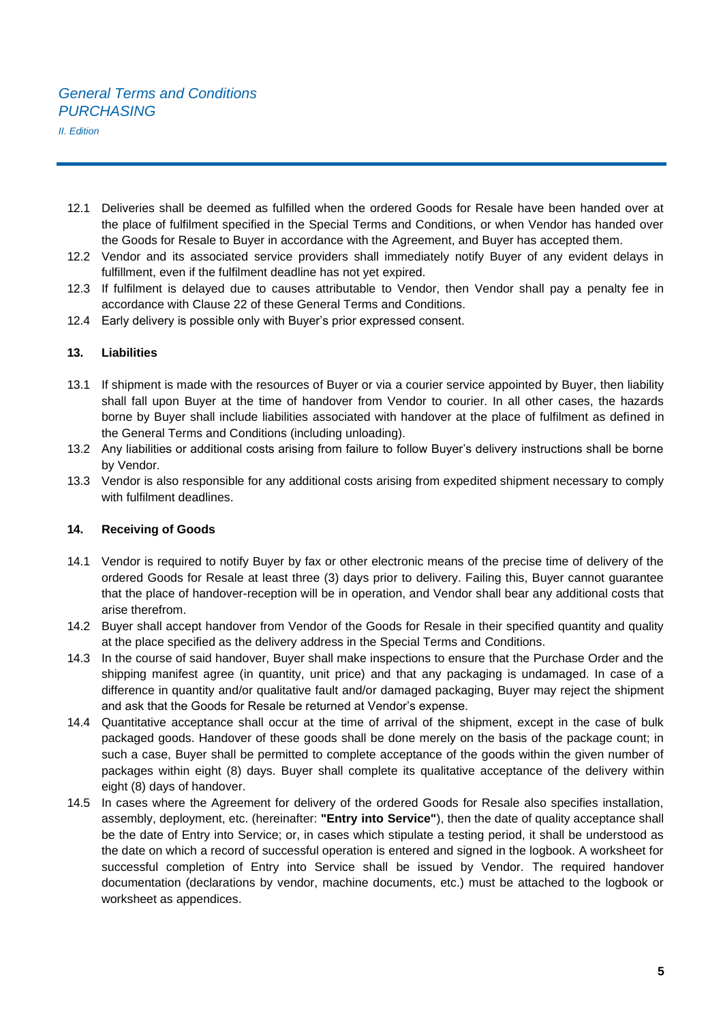# *General Terms and Conditions PURCHASING*

*II. Edition* 

- 12.1 Deliveries shall be deemed as fulfilled when the ordered Goods for Resale have been handed over at the place of fulfilment specified in the Special Terms and Conditions, or when Vendor has handed over the Goods for Resale to Buyer in accordance with the Agreement, and Buyer has accepted them.
- 12.2 Vendor and its associated service providers shall immediately notify Buyer of any evident delays in fulfillment, even if the fulfilment deadline has not yet expired.
- 12.3 If fulfilment is delayed due to causes attributable to Vendor, then Vendor shall pay a penalty fee in accordance with Clause 22 of these General Terms and Conditions.
- 12.4 Early delivery is possible only with Buyer's prior expressed consent.

#### **13. Liabilities**

- 13.1 If shipment is made with the resources of Buyer or via a courier service appointed by Buyer, then liability shall fall upon Buyer at the time of handover from Vendor to courier. In all other cases, the hazards borne by Buyer shall include liabilities associated with handover at the place of fulfilment as defined in the General Terms and Conditions (including unloading).
- 13.2 Any liabilities or additional costs arising from failure to follow Buyer's delivery instructions shall be borne by Vendor.
- 13.3 Vendor is also responsible for any additional costs arising from expedited shipment necessary to comply with fulfilment deadlines.

#### **14. Receiving of Goods**

- 14.1 Vendor is required to notify Buyer by fax or other electronic means of the precise time of delivery of the ordered Goods for Resale at least three (3) days prior to delivery. Failing this, Buyer cannot guarantee that the place of handover-reception will be in operation, and Vendor shall bear any additional costs that arise therefrom.
- 14.2 Buyer shall accept handover from Vendor of the Goods for Resale in their specified quantity and quality at the place specified as the delivery address in the Special Terms and Conditions.
- 14.3 In the course of said handover, Buyer shall make inspections to ensure that the Purchase Order and the shipping manifest agree (in quantity, unit price) and that any packaging is undamaged. In case of a difference in quantity and/or qualitative fault and/or damaged packaging, Buyer may reject the shipment and ask that the Goods for Resale be returned at Vendor's expense.
- 14.4 Quantitative acceptance shall occur at the time of arrival of the shipment, except in the case of bulk packaged goods. Handover of these goods shall be done merely on the basis of the package count; in such a case, Buyer shall be permitted to complete acceptance of the goods within the given number of packages within eight (8) days. Buyer shall complete its qualitative acceptance of the delivery within eight (8) days of handover.
- 14.5 In cases where the Agreement for delivery of the ordered Goods for Resale also specifies installation, assembly, deployment, etc. (hereinafter: **"Entry into Service"**), then the date of quality acceptance shall be the date of Entry into Service; or, in cases which stipulate a testing period, it shall be understood as the date on which a record of successful operation is entered and signed in the logbook. A worksheet for successful completion of Entry into Service shall be issued by Vendor. The required handover documentation (declarations by vendor, machine documents, etc.) must be attached to the logbook or worksheet as appendices.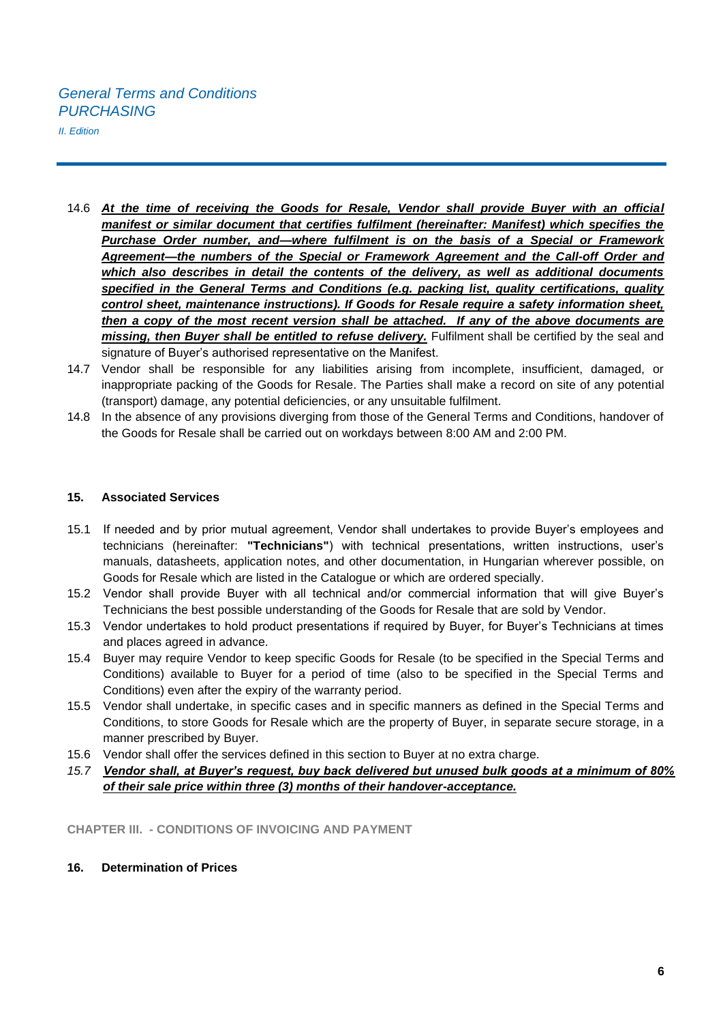- 14.6 *At the time of receiving the Goods for Resale, Vendor shall provide Buyer with an official manifest or similar document that certifies fulfilment (hereinafter: Manifest) which specifies the Purchase Order number, and—where fulfilment is on the basis of a Special or Framework Agreement—the numbers of the Special or Framework Agreement and the Call-off Order and which also describes in detail the contents of the delivery, as well as additional documents specified in the General Terms and Conditions (e.g. packing list, quality certifications, quality control sheet, maintenance instructions). If Goods for Resale require a safety information sheet, then a copy of the most recent version shall be attached. If any of the above documents are missing, then Buyer shall be entitled to refuse delivery.* Fulfilment shall be certified by the seal and signature of Buyer's authorised representative on the Manifest.
- 14.7 Vendor shall be responsible for any liabilities arising from incomplete, insufficient, damaged, or inappropriate packing of the Goods for Resale. The Parties shall make a record on site of any potential (transport) damage, any potential deficiencies, or any unsuitable fulfilment.
- 14.8 In the absence of any provisions diverging from those of the General Terms and Conditions, handover of the Goods for Resale shall be carried out on workdays between 8:00 AM and 2:00 PM.

## **15. Associated Services**

- 15.1 If needed and by prior mutual agreement, Vendor shall undertakes to provide Buyer's employees and technicians (hereinafter: **"Technicians"**) with technical presentations, written instructions, user's manuals, datasheets, application notes, and other documentation, in Hungarian wherever possible, on Goods for Resale which are listed in the Catalogue or which are ordered specially.
- 15.2 Vendor shall provide Buyer with all technical and/or commercial information that will give Buyer's Technicians the best possible understanding of the Goods for Resale that are sold by Vendor.
- 15.3 Vendor undertakes to hold product presentations if required by Buyer, for Buyer's Technicians at times and places agreed in advance.
- 15.4 Buyer may require Vendor to keep specific Goods for Resale (to be specified in the Special Terms and Conditions) available to Buyer for a period of time (also to be specified in the Special Terms and Conditions) even after the expiry of the warranty period.
- 15.5 Vendor shall undertake, in specific cases and in specific manners as defined in the Special Terms and Conditions, to store Goods for Resale which are the property of Buyer, in separate secure storage, in a manner prescribed by Buyer.
- 15.6 Vendor shall offer the services defined in this section to Buyer at no extra charge.
- *15.7 Vendor shall, at Buyer's request, buy back delivered but unused bulk goods at a minimum of 80% of their sale price within three (3) months of their handover-acceptance.*

**CHAPTER III. - CONDITIONS OF INVOICING AND PAYMENT** 

**16. Determination of Prices**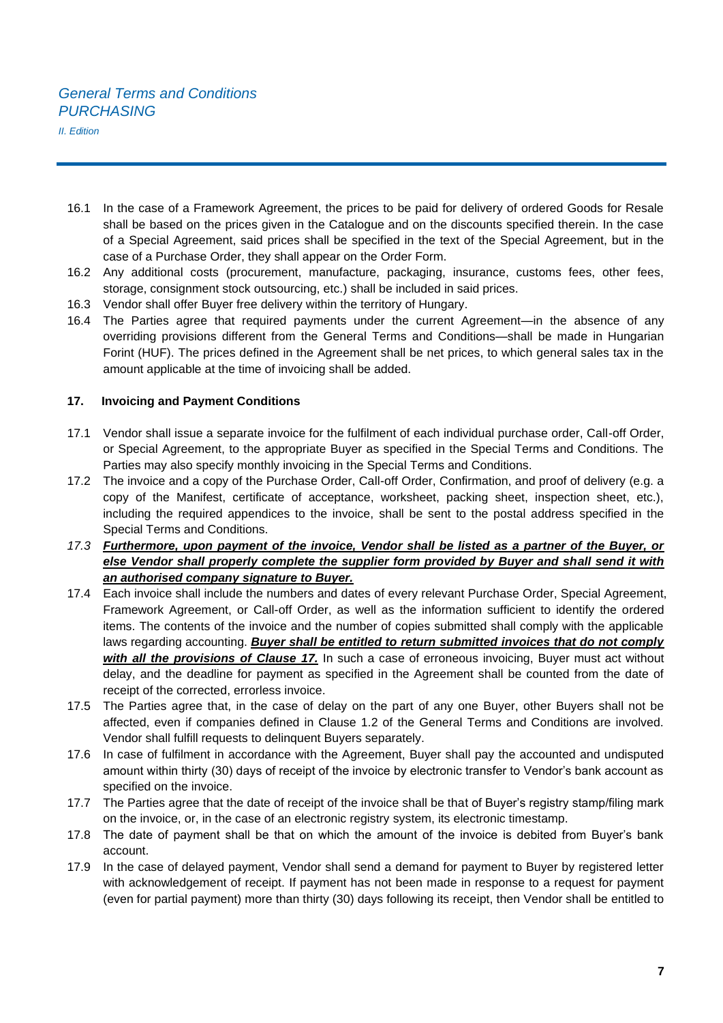- 16.1 In the case of a Framework Agreement, the prices to be paid for delivery of ordered Goods for Resale shall be based on the prices given in the Catalogue and on the discounts specified therein. In the case of a Special Agreement, said prices shall be specified in the text of the Special Agreement, but in the case of a Purchase Order, they shall appear on the Order Form.
- 16.2 Any additional costs (procurement, manufacture, packaging, insurance, customs fees, other fees, storage, consignment stock outsourcing, etc.) shall be included in said prices.
- 16.3 Vendor shall offer Buyer free delivery within the territory of Hungary.
- 16.4 The Parties agree that required payments under the current Agreement—in the absence of any overriding provisions different from the General Terms and Conditions—shall be made in Hungarian Forint (HUF). The prices defined in the Agreement shall be net prices, to which general sales tax in the amount applicable at the time of invoicing shall be added.

# **17. Invoicing and Payment Conditions**

- 17.1 Vendor shall issue a separate invoice for the fulfilment of each individual purchase order, Call-off Order, or Special Agreement, to the appropriate Buyer as specified in the Special Terms and Conditions. The Parties may also specify monthly invoicing in the Special Terms and Conditions.
- 17.2 The invoice and a copy of the Purchase Order, Call-off Order, Confirmation, and proof of delivery (e.g. a copy of the Manifest, certificate of acceptance, worksheet, packing sheet, inspection sheet, etc.), including the required appendices to the invoice, shall be sent to the postal address specified in the Special Terms and Conditions.
- *17.3 Furthermore, upon payment of the invoice, Vendor shall be listed as a partner of the Buyer, or else Vendor shall properly complete the supplier form provided by Buyer and shall send it with an authorised company signature to Buyer.*
- 17.4 Each invoice shall include the numbers and dates of every relevant Purchase Order, Special Agreement, Framework Agreement, or Call-off Order, as well as the information sufficient to identify the ordered items. The contents of the invoice and the number of copies submitted shall comply with the applicable laws regarding accounting. *Buyer shall be entitled to return submitted invoices that do not comply with all the provisions of Clause 17.* In such a case of erroneous invoicing, Buyer must act without delay, and the deadline for payment as specified in the Agreement shall be counted from the date of receipt of the corrected, errorless invoice.
- 17.5 The Parties agree that, in the case of delay on the part of any one Buyer, other Buyers shall not be affected, even if companies defined in Clause 1.2 of the General Terms and Conditions are involved. Vendor shall fulfill requests to delinquent Buyers separately.
- 17.6 In case of fulfilment in accordance with the Agreement, Buyer shall pay the accounted and undisputed amount within thirty (30) days of receipt of the invoice by electronic transfer to Vendor's bank account as specified on the invoice.
- 17.7 The Parties agree that the date of receipt of the invoice shall be that of Buyer's registry stamp/filing mark on the invoice, or, in the case of an electronic registry system, its electronic timestamp.
- 17.8 The date of payment shall be that on which the amount of the invoice is debited from Buyer's bank account.
- 17.9 In the case of delayed payment, Vendor shall send a demand for payment to Buyer by registered letter with acknowledgement of receipt. If payment has not been made in response to a request for payment (even for partial payment) more than thirty (30) days following its receipt, then Vendor shall be entitled to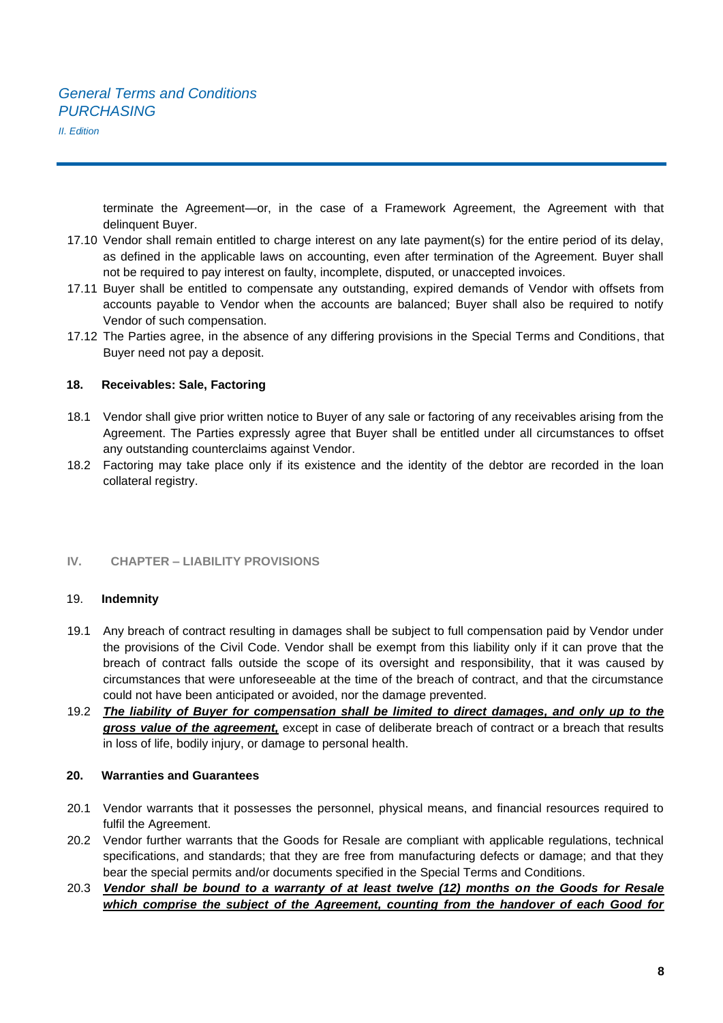terminate the Agreement—or, in the case of a Framework Agreement, the Agreement with that delinquent Buyer.

- 17.10 Vendor shall remain entitled to charge interest on any late payment(s) for the entire period of its delay, as defined in the applicable laws on accounting, even after termination of the Agreement. Buyer shall not be required to pay interest on faulty, incomplete, disputed, or unaccepted invoices.
- 17.11 Buyer shall be entitled to compensate any outstanding, expired demands of Vendor with offsets from accounts payable to Vendor when the accounts are balanced; Buyer shall also be required to notify Vendor of such compensation.
- 17.12 The Parties agree, in the absence of any differing provisions in the Special Terms and Conditions, that Buyer need not pay a deposit.

#### **18. Receivables: Sale, Factoring**

- 18.1 Vendor shall give prior written notice to Buyer of any sale or factoring of any receivables arising from the Agreement. The Parties expressly agree that Buyer shall be entitled under all circumstances to offset any outstanding counterclaims against Vendor.
- 18.2 Factoring may take place only if its existence and the identity of the debtor are recorded in the loan collateral registry.

# **IV. CHAPTER – LIABILITY PROVISIONS**

#### 19. **Indemnity**

- 19.1 Any breach of contract resulting in damages shall be subject to full compensation paid by Vendor under the provisions of the Civil Code. Vendor shall be exempt from this liability only if it can prove that the breach of contract falls outside the scope of its oversight and responsibility, that it was caused by circumstances that were unforeseeable at the time of the breach of contract, and that the circumstance could not have been anticipated or avoided, nor the damage prevented.
- 19.2 *The liability of Buyer for compensation shall be limited to direct damages, and only up to the gross value of the agreement,* except in case of deliberate breach of contract or a breach that results in loss of life, bodily injury, or damage to personal health.

#### **20. Warranties and Guarantees**

- 20.1 Vendor warrants that it possesses the personnel, physical means, and financial resources required to fulfil the Agreement.
- 20.2 Vendor further warrants that the Goods for Resale are compliant with applicable regulations, technical specifications, and standards; that they are free from manufacturing defects or damage; and that they bear the special permits and/or documents specified in the Special Terms and Conditions.
- 20.3 *Vendor shall be bound to a warranty of at least twelve (12) months on the Goods for Resale which comprise the subject of the Agreement, counting from the handover of each Good for*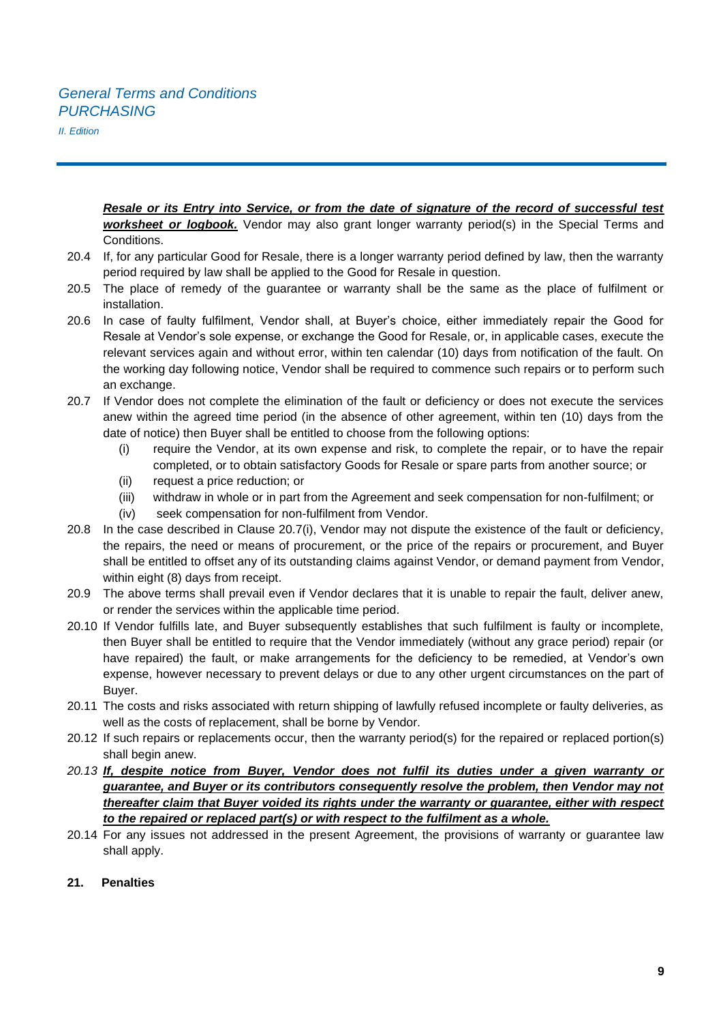*Resale or its Entry into Service, or from the date of signature of the record of successful test worksheet or logbook.* Vendor may also grant longer warranty period(s) in the Special Terms and Conditions.

- 20.4 If, for any particular Good for Resale, there is a longer warranty period defined by law, then the warranty period required by law shall be applied to the Good for Resale in question.
- 20.5 The place of remedy of the guarantee or warranty shall be the same as the place of fulfilment or installation.
- 20.6 In case of faulty fulfilment, Vendor shall, at Buyer's choice, either immediately repair the Good for Resale at Vendor's sole expense, or exchange the Good for Resale, or, in applicable cases, execute the relevant services again and without error, within ten calendar (10) days from notification of the fault. On the working day following notice, Vendor shall be required to commence such repairs or to perform such an exchange.
- 20.7 If Vendor does not complete the elimination of the fault or deficiency or does not execute the services anew within the agreed time period (in the absence of other agreement, within ten (10) days from the date of notice) then Buyer shall be entitled to choose from the following options:
	- (i) require the Vendor, at its own expense and risk, to complete the repair, or to have the repair completed, or to obtain satisfactory Goods for Resale or spare parts from another source; or
	- (ii) request a price reduction; or
	- (iii) withdraw in whole or in part from the Agreement and seek compensation for non-fulfilment; or
	- (iv) seek compensation for non-fulfilment from Vendor.
- 20.8 In the case described in Clause 20.7(i), Vendor may not dispute the existence of the fault or deficiency, the repairs, the need or means of procurement, or the price of the repairs or procurement, and Buyer shall be entitled to offset any of its outstanding claims against Vendor, or demand payment from Vendor, within eight (8) days from receipt.
- 20.9 The above terms shall prevail even if Vendor declares that it is unable to repair the fault, deliver anew, or render the services within the applicable time period.
- 20.10 If Vendor fulfills late, and Buyer subsequently establishes that such fulfilment is faulty or incomplete, then Buyer shall be entitled to require that the Vendor immediately (without any grace period) repair (or have repaired) the fault, or make arrangements for the deficiency to be remedied, at Vendor's own expense, however necessary to prevent delays or due to any other urgent circumstances on the part of Buyer.
- 20.11 The costs and risks associated with return shipping of lawfully refused incomplete or faulty deliveries, as well as the costs of replacement, shall be borne by Vendor.
- 20.12 If such repairs or replacements occur, then the warranty period(s) for the repaired or replaced portion(s) shall begin anew.
- *20.13 If, despite notice from Buyer, Vendor does not fulfil its duties under a given warranty or guarantee, and Buyer or its contributors consequently resolve the problem, then Vendor may not thereafter claim that Buyer voided its rights under the warranty or guarantee, either with respect to the repaired or replaced part(s) or with respect to the fulfilment as a whole.*
- 20.14 For any issues not addressed in the present Agreement, the provisions of warranty or guarantee law shall apply.
- **21. Penalties**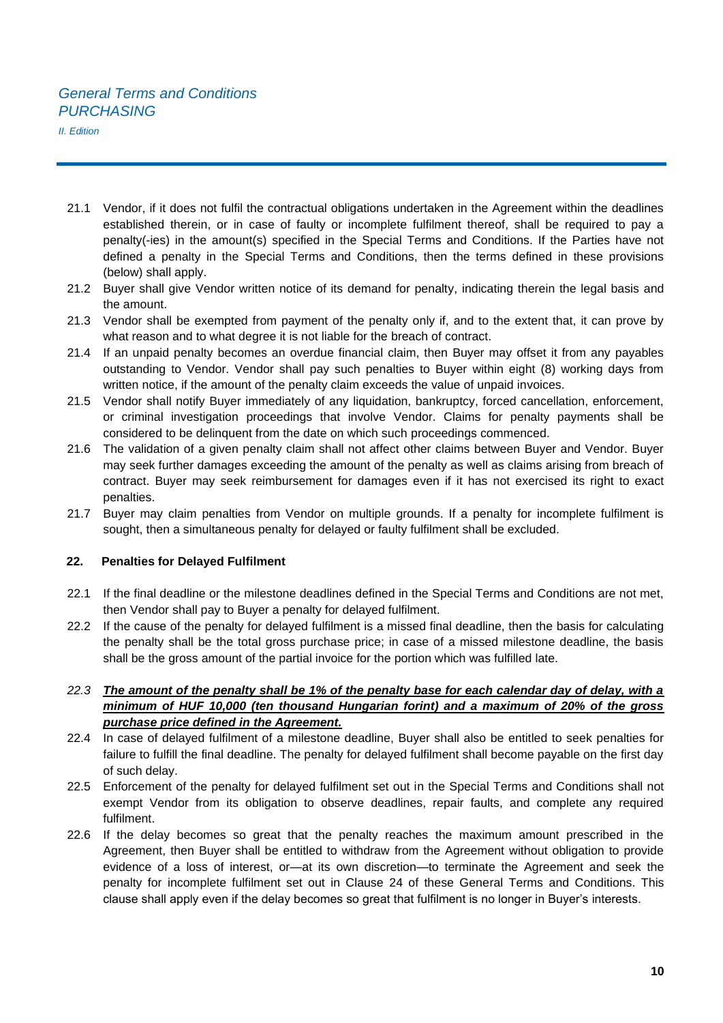- 21.1 Vendor, if it does not fulfil the contractual obligations undertaken in the Agreement within the deadlines established therein, or in case of faulty or incomplete fulfilment thereof, shall be required to pay a penalty(-ies) in the amount(s) specified in the Special Terms and Conditions. If the Parties have not defined a penalty in the Special Terms and Conditions, then the terms defined in these provisions (below) shall apply.
- 21.2 Buyer shall give Vendor written notice of its demand for penalty, indicating therein the legal basis and the amount.
- 21.3 Vendor shall be exempted from payment of the penalty only if, and to the extent that, it can prove by what reason and to what degree it is not liable for the breach of contract.
- 21.4 If an unpaid penalty becomes an overdue financial claim, then Buyer may offset it from any payables outstanding to Vendor. Vendor shall pay such penalties to Buyer within eight (8) working days from written notice, if the amount of the penalty claim exceeds the value of unpaid invoices.
- 21.5 Vendor shall notify Buyer immediately of any liquidation, bankruptcy, forced cancellation, enforcement, or criminal investigation proceedings that involve Vendor. Claims for penalty payments shall be considered to be delinquent from the date on which such proceedings commenced.
- 21.6 The validation of a given penalty claim shall not affect other claims between Buyer and Vendor. Buyer may seek further damages exceeding the amount of the penalty as well as claims arising from breach of contract. Buyer may seek reimbursement for damages even if it has not exercised its right to exact penalties.
- 21.7 Buyer may claim penalties from Vendor on multiple grounds. If a penalty for incomplete fulfilment is sought, then a simultaneous penalty for delayed or faulty fulfilment shall be excluded.

#### **22. Penalties for Delayed Fulfilment**

- 22.1 If the final deadline or the milestone deadlines defined in the Special Terms and Conditions are not met, then Vendor shall pay to Buyer a penalty for delayed fulfilment.
- 22.2 If the cause of the penalty for delayed fulfilment is a missed final deadline, then the basis for calculating the penalty shall be the total gross purchase price; in case of a missed milestone deadline, the basis shall be the gross amount of the partial invoice for the portion which was fulfilled late.

# *22.3 The amount of the penalty shall be 1% of the penalty base for each calendar day of delay, with a minimum of HUF 10,000 (ten thousand Hungarian forint) and a maximum of 20% of the gross purchase price defined in the Agreement.*

- 22.4 In case of delayed fulfilment of a milestone deadline, Buyer shall also be entitled to seek penalties for failure to fulfill the final deadline. The penalty for delayed fulfilment shall become payable on the first day of such delay.
- 22.5 Enforcement of the penalty for delayed fulfilment set out in the Special Terms and Conditions shall not exempt Vendor from its obligation to observe deadlines, repair faults, and complete any required fulfilment.
- 22.6 If the delay becomes so great that the penalty reaches the maximum amount prescribed in the Agreement, then Buyer shall be entitled to withdraw from the Agreement without obligation to provide evidence of a loss of interest, or—at its own discretion—to terminate the Agreement and seek the penalty for incomplete fulfilment set out in Clause 24 of these General Terms and Conditions. This clause shall apply even if the delay becomes so great that fulfilment is no longer in Buyer's interests.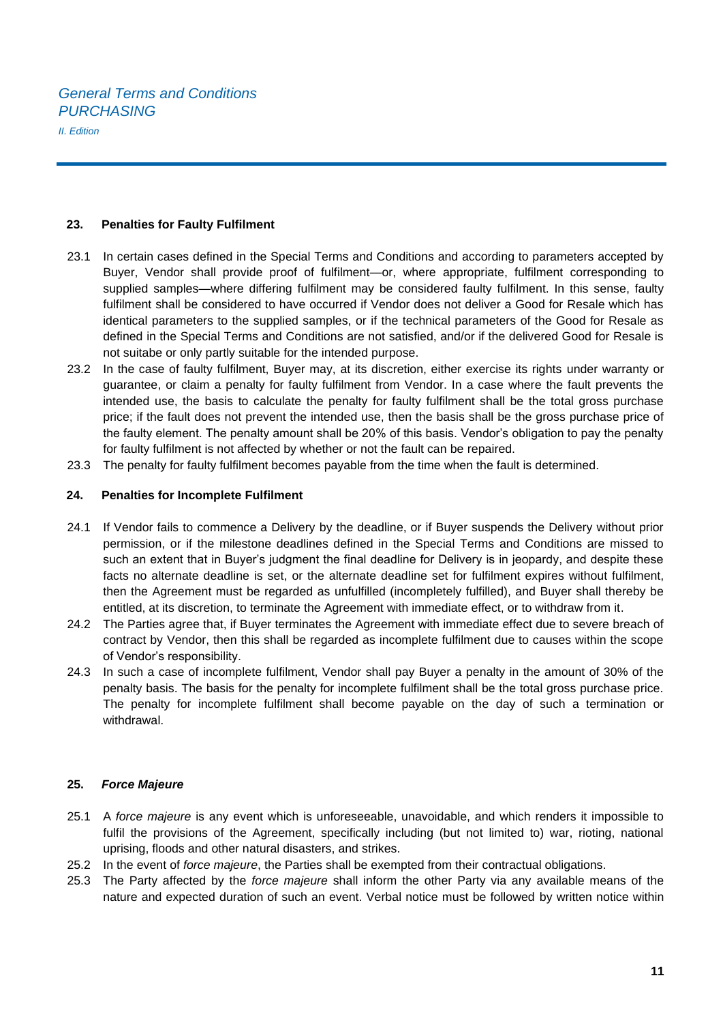#### **23. Penalties for Faulty Fulfilment**

- 23.1 In certain cases defined in the Special Terms and Conditions and according to parameters accepted by Buyer, Vendor shall provide proof of fulfilment—or, where appropriate, fulfilment corresponding to supplied samples—where differing fulfilment may be considered faulty fulfilment. In this sense, faulty fulfilment shall be considered to have occurred if Vendor does not deliver a Good for Resale which has identical parameters to the supplied samples, or if the technical parameters of the Good for Resale as defined in the Special Terms and Conditions are not satisfied, and/or if the delivered Good for Resale is not suitabe or only partly suitable for the intended purpose.
- 23.2 In the case of faulty fulfilment, Buyer may, at its discretion, either exercise its rights under warranty or guarantee, or claim a penalty for faulty fulfilment from Vendor. In a case where the fault prevents the intended use, the basis to calculate the penalty for faulty fulfilment shall be the total gross purchase price; if the fault does not prevent the intended use, then the basis shall be the gross purchase price of the faulty element. The penalty amount shall be 20% of this basis. Vendor's obligation to pay the penalty for faulty fulfilment is not affected by whether or not the fault can be repaired.
- 23.3 The penalty for faulty fulfilment becomes payable from the time when the fault is determined.

#### **24. Penalties for Incomplete Fulfilment**

- 24.1 If Vendor fails to commence a Delivery by the deadline, or if Buyer suspends the Delivery without prior permission, or if the milestone deadlines defined in the Special Terms and Conditions are missed to such an extent that in Buyer's judgment the final deadline for Delivery is in jeopardy, and despite these facts no alternate deadline is set, or the alternate deadline set for fulfilment expires without fulfilment, then the Agreement must be regarded as unfulfilled (incompletely fulfilled), and Buyer shall thereby be entitled, at its discretion, to terminate the Agreement with immediate effect, or to withdraw from it.
- 24.2 The Parties agree that, if Buyer terminates the Agreement with immediate effect due to severe breach of contract by Vendor, then this shall be regarded as incomplete fulfilment due to causes within the scope of Vendor's responsibility.
- 24.3 In such a case of incomplete fulfilment, Vendor shall pay Buyer a penalty in the amount of 30% of the penalty basis. The basis for the penalty for incomplete fulfilment shall be the total gross purchase price. The penalty for incomplete fulfilment shall become payable on the day of such a termination or withdrawal.

#### **25.** *Force Majeure*

- 25.1 A *force majeure* is any event which is unforeseeable, unavoidable, and which renders it impossible to fulfil the provisions of the Agreement, specifically including (but not limited to) war, rioting, national uprising, floods and other natural disasters, and strikes.
- 25.2 In the event of *force majeure*, the Parties shall be exempted from their contractual obligations.
- 25.3 The Party affected by the *force majeure* shall inform the other Party via any available means of the nature and expected duration of such an event. Verbal notice must be followed by written notice within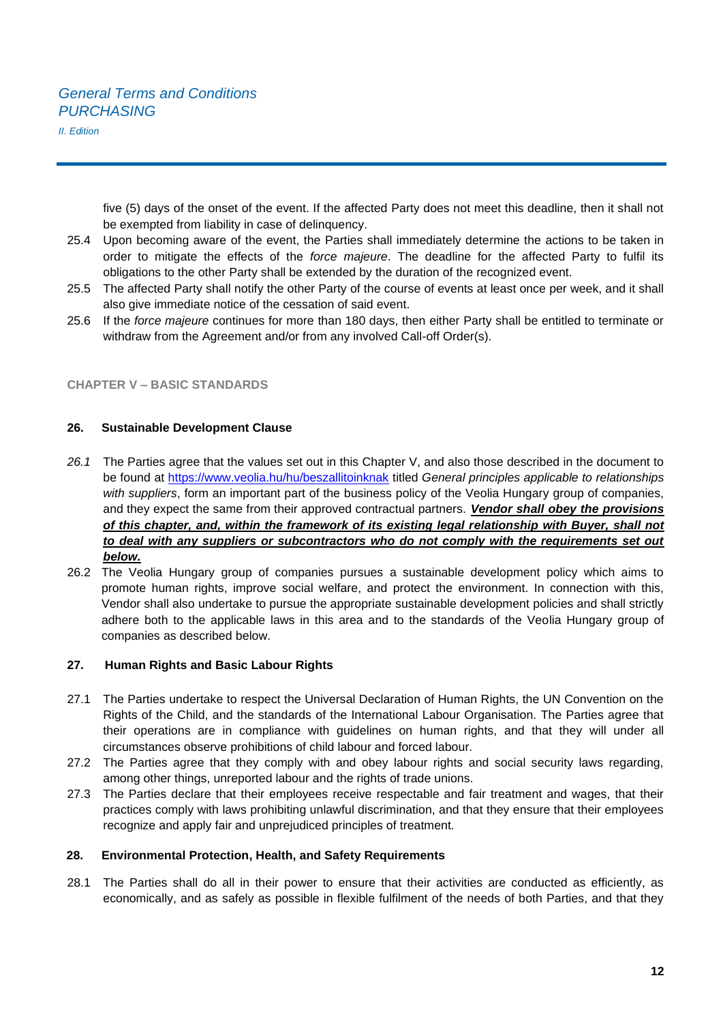five (5) days of the onset of the event. If the affected Party does not meet this deadline, then it shall not be exempted from liability in case of delinquency.

- 25.4 Upon becoming aware of the event, the Parties shall immediately determine the actions to be taken in order to mitigate the effects of the *force majeure*. The deadline for the affected Party to fulfil its obligations to the other Party shall be extended by the duration of the recognized event.
- 25.5 The affected Party shall notify the other Party of the course of events at least once per week, and it shall also give immediate notice of the cessation of said event.
- 25.6 If the *force majeure* continues for more than 180 days, then either Party shall be entitled to terminate or withdraw from the Agreement and/or from any involved Call-off Order(s).

#### **CHAPTER V – BASIC STANDARDS**

#### **26. Sustainable Development Clause**

- *26.1* The Parties agree that the values set out in this Chapter V, and also those described in the document to be found at https://www.veolia.hu/hu/beszallitoinknak titled *General principles applicable to relationships with suppliers*, form an important part of the business policy of the Veolia Hungary group of companies, and they expect the same from their approved contractual partners. *Vendor shall obey the provisions of this chapter, and, within the framework of its existing legal relationship with Buyer, shall not to deal with any suppliers or subcontractors who do not comply with the requirements set out below.*
- 26.2 The Veolia Hungary group of companies pursues a sustainable development policy which aims to promote human rights, improve social welfare, and protect the environment. In connection with this, Vendor shall also undertake to pursue the appropriate sustainable development policies and shall strictly adhere both to the applicable laws in this area and to the standards of the Veolia Hungary group of companies as described below.

#### **27. Human Rights and Basic Labour Rights**

- 27.1 The Parties undertake to respect the Universal Declaration of Human Rights, the UN Convention on the Rights of the Child, and the standards of the International Labour Organisation. The Parties agree that their operations are in compliance with guidelines on human rights, and that they will under all circumstances observe prohibitions of child labour and forced labour.
- 27.2 The Parties agree that they comply with and obey labour rights and social security laws regarding, among other things, unreported labour and the rights of trade unions.
- 27.3 The Parties declare that their employees receive respectable and fair treatment and wages, that their practices comply with laws prohibiting unlawful discrimination, and that they ensure that their employees recognize and apply fair and unprejudiced principles of treatment.

#### **28. Environmental Protection, Health, and Safety Requirements**

28.1 The Parties shall do all in their power to ensure that their activities are conducted as efficiently, as economically, and as safely as possible in flexible fulfilment of the needs of both Parties, and that they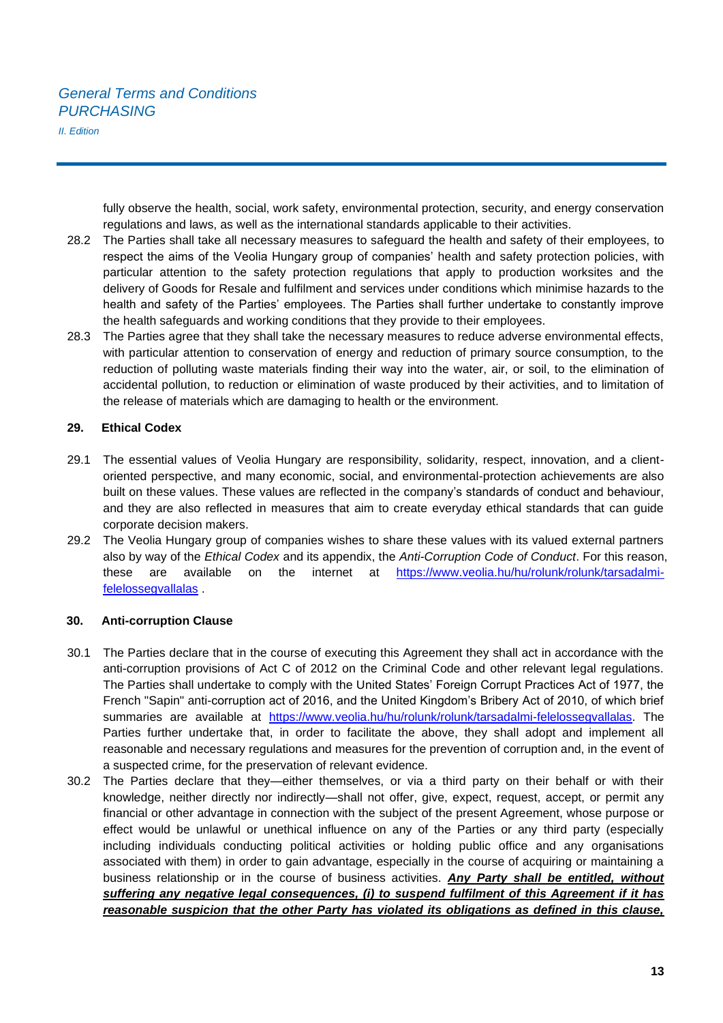# *General Terms and Conditions PURCHASING*

*II. Edition* 

fully observe the health, social, work safety, environmental protection, security, and energy conservation regulations and laws, as well as the international standards applicable to their activities.

- 28.2 The Parties shall take all necessary measures to safeguard the health and safety of their employees, to respect the aims of the Veolia Hungary group of companies' health and safety protection policies, with particular attention to the safety protection regulations that apply to production worksites and the delivery of Goods for Resale and fulfilment and services under conditions which minimise hazards to the health and safety of the Parties' employees. The Parties shall further undertake to constantly improve the health safeguards and working conditions that they provide to their employees.
- 28.3 The Parties agree that they shall take the necessary measures to reduce adverse environmental effects, with particular attention to conservation of energy and reduction of primary source consumption, to the reduction of polluting waste materials finding their way into the water, air, or soil, to the elimination of accidental pollution, to reduction or elimination of waste produced by their activities, and to limitation of the release of materials which are damaging to health or the environment.

#### **29. Ethical Codex**

- 29.1 The essential values of Veolia Hungary are responsibility, solidarity, respect, innovation, and a clientoriented perspective, and many economic, social, and environmental-protection achievements are also built on these values. These values are reflected in the company's standards of conduct and behaviour, and they are also reflected in measures that aim to create everyday ethical standards that can guide corporate decision makers.
- 29.2 The Veolia Hungary group of companies wishes to share these values with its valued external partners also by way of the *Ethical Codex* and its appendix, the *Anti-Corruption Code of Conduct*. For this reason, these are available on the internet at [https://www.veolia.hu/hu/rolunk/rolunk/tarsadalmi](https://www.veolia.hu/hu/rolunk/rolunk/tarsadalmi-felelossegvallalas)[felelossegvallalas](https://www.veolia.hu/hu/rolunk/rolunk/tarsadalmi-felelossegvallalas) .

#### **30. Anti-corruption Clause**

- 30.1 The Parties declare that in the course of executing this Agreement they shall act in accordance with the anti-corruption provisions of Act C of 2012 on the Criminal Code and other relevant legal regulations. The Parties shall undertake to comply with the United States' Foreign Corrupt Practices Act of 1977, the French "Sapin" anti-corruption act of 2016, and the United Kingdom's Bribery Act of 2010, of which brief summaries are available at [https://www.veolia.hu/hu/rolunk/rolunk/tarsadalmi-felelossegvallalas.](https://www.veolia.hu/hu/rolunk/rolunk/tarsadalmi-felelossegvallalas) The Parties further undertake that, in order to facilitate the above, they shall adopt and implement all reasonable and necessary regulations and measures for the prevention of corruption and, in the event of a suspected crime, for the preservation of relevant evidence.
- 30.2 The Parties declare that they—either themselves, or via a third party on their behalf or with their knowledge, neither directly nor indirectly—shall not offer, give, expect, request, accept, or permit any financial or other advantage in connection with the subject of the present Agreement, whose purpose or effect would be unlawful or unethical influence on any of the Parties or any third party (especially including individuals conducting political activities or holding public office and any organisations associated with them) in order to gain advantage, especially in the course of acquiring or maintaining a business relationship or in the course of business activities. *Any Party shall be entitled, without suffering any negative legal consequences, (i) to suspend fulfilment of this Agreement if it has reasonable suspicion that the other Party has violated its obligations as defined in this clause,*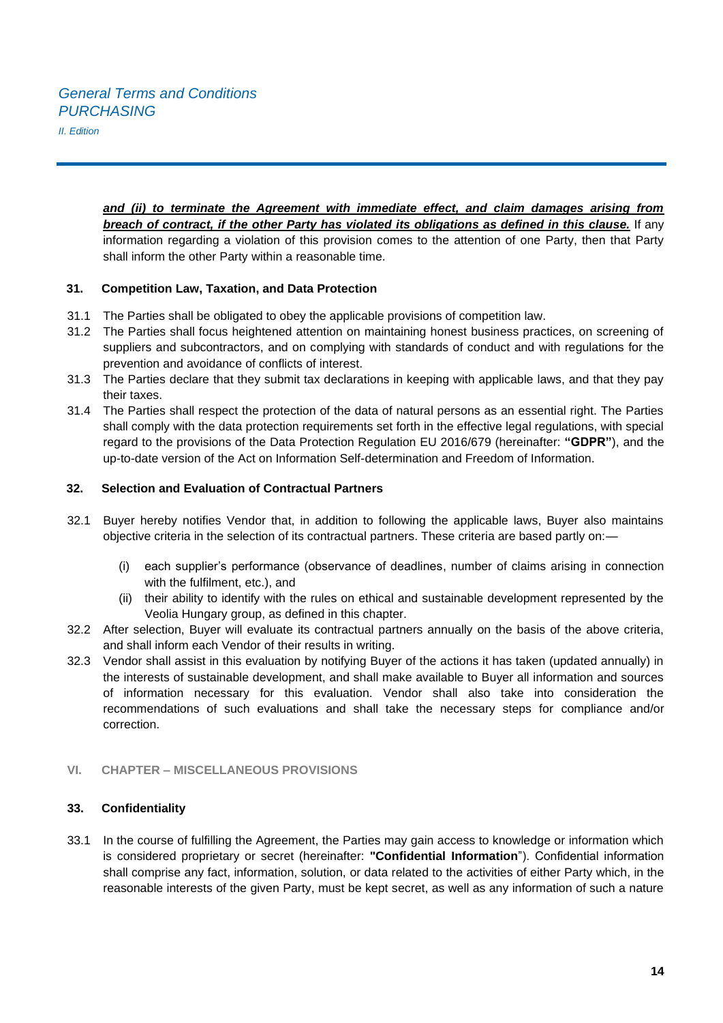*and (ii) to terminate the Agreement with immediate effect, and claim damages arising from breach of contract, if the other Party has violated its obligations as defined in this clause.* If any information regarding a violation of this provision comes to the attention of one Party, then that Party shall inform the other Party within a reasonable time.

# **31. Competition Law, Taxation, and Data Protection**

- 31.1 The Parties shall be obligated to obey the applicable provisions of competition law.
- 31.2 The Parties shall focus heightened attention on maintaining honest business practices, on screening of suppliers and subcontractors, and on complying with standards of conduct and with regulations for the prevention and avoidance of conflicts of interest.
- 31.3 The Parties declare that they submit tax declarations in keeping with applicable laws, and that they pay their taxes.
- 31.4 The Parties shall respect the protection of the data of natural persons as an essential right. The Parties shall comply with the data protection requirements set forth in the effective legal regulations, with special regard to the provisions of the Data Protection Regulation EU 2016/679 (hereinafter: **"GDPR"**), and the up-to-date version of the Act on Information Self-determination and Freedom of Information.

#### **32. Selection and Evaluation of Contractual Partners**

- 32.1 Buyer hereby notifies Vendor that, in addition to following the applicable laws, Buyer also maintains objective criteria in the selection of its contractual partners. These criteria are based partly on:—
	- (i) each supplier's performance (observance of deadlines, number of claims arising in connection with the fulfilment, etc.), and
	- (ii) their ability to identify with the rules on ethical and sustainable development represented by the Veolia Hungary group, as defined in this chapter.
- 32.2 After selection, Buyer will evaluate its contractual partners annually on the basis of the above criteria, and shall inform each Vendor of their results in writing.
- 32.3 Vendor shall assist in this evaluation by notifying Buyer of the actions it has taken (updated annually) in the interests of sustainable development, and shall make available to Buyer all information and sources of information necessary for this evaluation. Vendor shall also take into consideration the recommendations of such evaluations and shall take the necessary steps for compliance and/or correction.

## **VI. CHAPTER – MISCELLANEOUS PROVISIONS**

#### **33. Confidentiality**

33.1 In the course of fulfilling the Agreement, the Parties may gain access to knowledge or information which is considered proprietary or secret (hereinafter: **"Confidential Information**"). Confidential information shall comprise any fact, information, solution, or data related to the activities of either Party which, in the reasonable interests of the given Party, must be kept secret, as well as any information of such a nature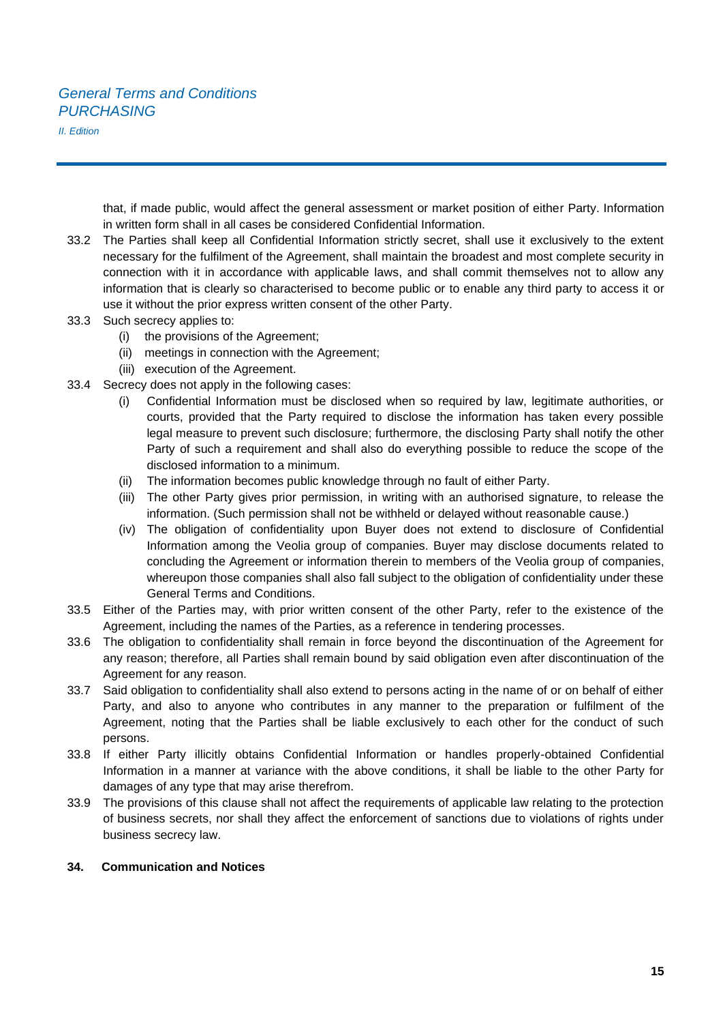# *General Terms and Conditions PURCHASING*

*II. Edition* 

that, if made public, would affect the general assessment or market position of either Party. Information in written form shall in all cases be considered Confidential Information.

- 33.2 The Parties shall keep all Confidential Information strictly secret, shall use it exclusively to the extent necessary for the fulfilment of the Agreement, shall maintain the broadest and most complete security in connection with it in accordance with applicable laws, and shall commit themselves not to allow any information that is clearly so characterised to become public or to enable any third party to access it or use it without the prior express written consent of the other Party.
- 33.3 Such secrecy applies to:
	- (i) the provisions of the Agreement;
	- (ii) meetings in connection with the Agreement;
	- (iii) execution of the Agreement.
- 33.4 Secrecy does not apply in the following cases:
	- (i) Confidential Information must be disclosed when so required by law, legitimate authorities, or courts, provided that the Party required to disclose the information has taken every possible legal measure to prevent such disclosure; furthermore, the disclosing Party shall notify the other Party of such a requirement and shall also do everything possible to reduce the scope of the disclosed information to a minimum.
	- (ii) The information becomes public knowledge through no fault of either Party.
	- (iii) The other Party gives prior permission, in writing with an authorised signature, to release the information. (Such permission shall not be withheld or delayed without reasonable cause.)
	- (iv) The obligation of confidentiality upon Buyer does not extend to disclosure of Confidential Information among the Veolia group of companies. Buyer may disclose documents related to concluding the Agreement or information therein to members of the Veolia group of companies, whereupon those companies shall also fall subject to the obligation of confidentiality under these General Terms and Conditions.
- 33.5 Either of the Parties may, with prior written consent of the other Party, refer to the existence of the Agreement, including the names of the Parties, as a reference in tendering processes.
- 33.6 The obligation to confidentiality shall remain in force beyond the discontinuation of the Agreement for any reason; therefore, all Parties shall remain bound by said obligation even after discontinuation of the Agreement for any reason.
- 33.7 Said obligation to confidentiality shall also extend to persons acting in the name of or on behalf of either Party, and also to anyone who contributes in any manner to the preparation or fulfilment of the Agreement, noting that the Parties shall be liable exclusively to each other for the conduct of such persons.
- 33.8 If either Party illicitly obtains Confidential Information or handles properly-obtained Confidential Information in a manner at variance with the above conditions, it shall be liable to the other Party for damages of any type that may arise therefrom.
- 33.9 The provisions of this clause shall not affect the requirements of applicable law relating to the protection of business secrets, nor shall they affect the enforcement of sanctions due to violations of rights under business secrecy law.

#### **34. Communication and Notices**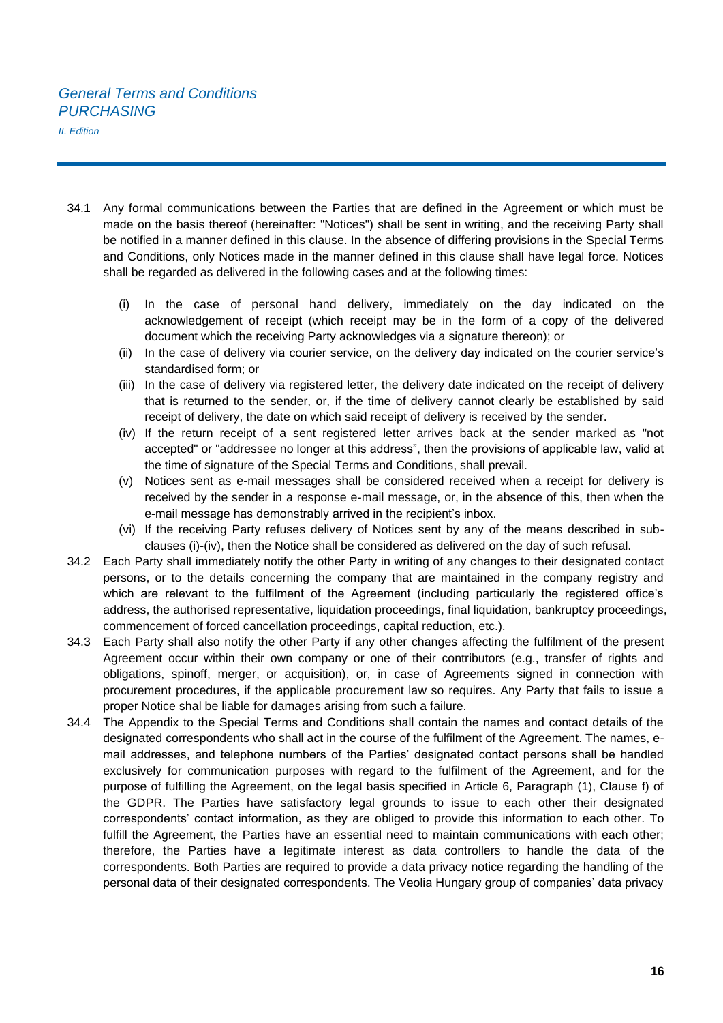- 34.1 Any formal communications between the Parties that are defined in the Agreement or which must be made on the basis thereof (hereinafter: "Notices") shall be sent in writing, and the receiving Party shall be notified in a manner defined in this clause. In the absence of differing provisions in the Special Terms and Conditions, only Notices made in the manner defined in this clause shall have legal force. Notices shall be regarded as delivered in the following cases and at the following times:
	- (i) In the case of personal hand delivery, immediately on the day indicated on the acknowledgement of receipt (which receipt may be in the form of a copy of the delivered document which the receiving Party acknowledges via a signature thereon); or
	- (ii) In the case of delivery via courier service, on the delivery day indicated on the courier service's standardised form; or
	- (iii) In the case of delivery via registered letter, the delivery date indicated on the receipt of delivery that is returned to the sender, or, if the time of delivery cannot clearly be established by said receipt of delivery, the date on which said receipt of delivery is received by the sender.
	- (iv) If the return receipt of a sent registered letter arrives back at the sender marked as "not accepted" or "addressee no longer at this address", then the provisions of applicable law, valid at the time of signature of the Special Terms and Conditions, shall prevail.
	- (v) Notices sent as e-mail messages shall be considered received when a receipt for delivery is received by the sender in a response e-mail message, or, in the absence of this, then when the e-mail message has demonstrably arrived in the recipient's inbox.
	- (vi) If the receiving Party refuses delivery of Notices sent by any of the means described in subclauses (i)-(iv), then the Notice shall be considered as delivered on the day of such refusal.
- 34.2 Each Party shall immediately notify the other Party in writing of any changes to their designated contact persons, or to the details concerning the company that are maintained in the company registry and which are relevant to the fulfilment of the Agreement (including particularly the registered office's address, the authorised representative, liquidation proceedings, final liquidation, bankruptcy proceedings, commencement of forced cancellation proceedings, capital reduction, etc.).
- 34.3 Each Party shall also notify the other Party if any other changes affecting the fulfilment of the present Agreement occur within their own company or one of their contributors (e.g., transfer of rights and obligations, spinoff, merger, or acquisition), or, in case of Agreements signed in connection with procurement procedures, if the applicable procurement law so requires. Any Party that fails to issue a proper Notice shal be liable for damages arising from such a failure.
- 34.4 The Appendix to the Special Terms and Conditions shall contain the names and contact details of the designated correspondents who shall act in the course of the fulfilment of the Agreement. The names, email addresses, and telephone numbers of the Parties' designated contact persons shall be handled exclusively for communication purposes with regard to the fulfilment of the Agreement, and for the purpose of fulfilling the Agreement, on the legal basis specified in Article 6, Paragraph (1), Clause f) of the GDPR. The Parties have satisfactory legal grounds to issue to each other their designated correspondents' contact information, as they are obliged to provide this information to each other. To fulfill the Agreement, the Parties have an essential need to maintain communications with each other; therefore, the Parties have a legitimate interest as data controllers to handle the data of the correspondents. Both Parties are required to provide a data privacy notice regarding the handling of the personal data of their designated correspondents. The Veolia Hungary group of companies' data privacy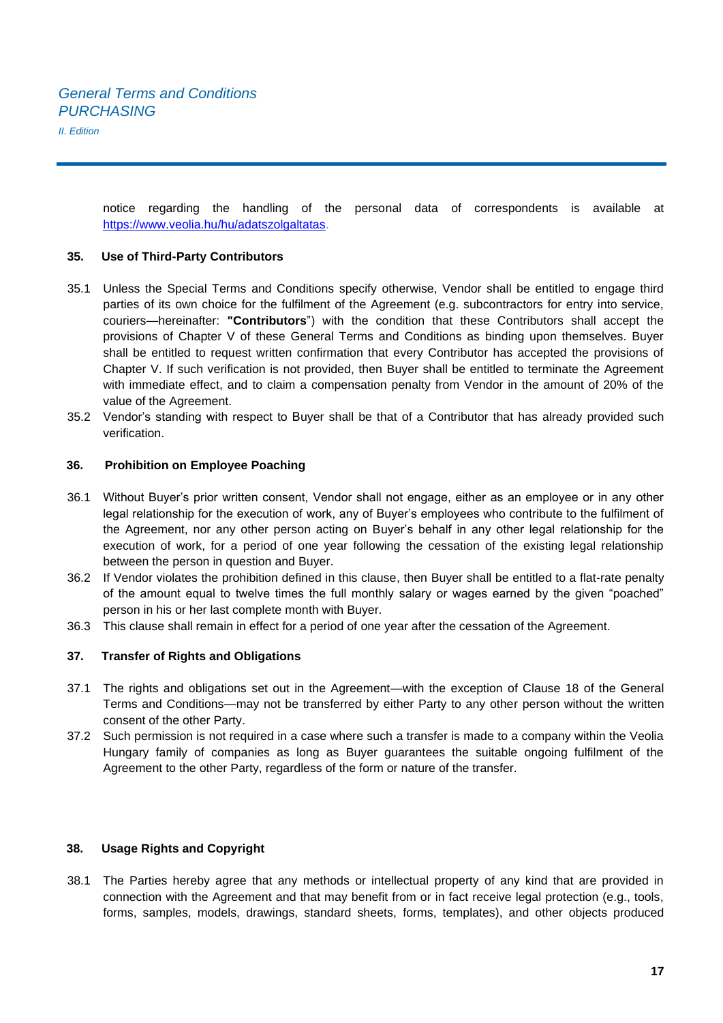notice regarding the handling of the personal data of correspondents is available at https://www.veolia.hu/hu/adatszolgaltatas.

#### **35. Use of Third-Party Contributors**

- 35.1 Unless the Special Terms and Conditions specify otherwise, Vendor shall be entitled to engage third parties of its own choice for the fulfilment of the Agreement (e.g. subcontractors for entry into service, couriers—hereinafter: **"Contributors**") with the condition that these Contributors shall accept the provisions of Chapter V of these General Terms and Conditions as binding upon themselves. Buyer shall be entitled to request written confirmation that every Contributor has accepted the provisions of Chapter V. If such verification is not provided, then Buyer shall be entitled to terminate the Agreement with immediate effect, and to claim a compensation penalty from Vendor in the amount of 20% of the value of the Agreement.
- 35.2 Vendor's standing with respect to Buyer shall be that of a Contributor that has already provided such verification.

#### **36. Prohibition on Employee Poaching**

- 36.1 Without Buyer's prior written consent, Vendor shall not engage, either as an employee or in any other legal relationship for the execution of work, any of Buyer's employees who contribute to the fulfilment of the Agreement, nor any other person acting on Buyer's behalf in any other legal relationship for the execution of work, for a period of one year following the cessation of the existing legal relationship between the person in question and Buyer.
- 36.2 If Vendor violates the prohibition defined in this clause, then Buyer shall be entitled to a flat-rate penalty of the amount equal to twelve times the full monthly salary or wages earned by the given "poached" person in his or her last complete month with Buyer.
- 36.3 This clause shall remain in effect for a period of one year after the cessation of the Agreement.

#### **37. Transfer of Rights and Obligations**

- 37.1 The rights and obligations set out in the Agreement—with the exception of Clause 18 of the General Terms and Conditions—may not be transferred by either Party to any other person without the written consent of the other Party.
- 37.2 Such permission is not required in a case where such a transfer is made to a company within the Veolia Hungary family of companies as long as Buyer guarantees the suitable ongoing fulfilment of the Agreement to the other Party, regardless of the form or nature of the transfer.

#### **38. Usage Rights and Copyright**

38.1 The Parties hereby agree that any methods or intellectual property of any kind that are provided in connection with the Agreement and that may benefit from or in fact receive legal protection (e.g., tools, forms, samples, models, drawings, standard sheets, forms, templates), and other objects produced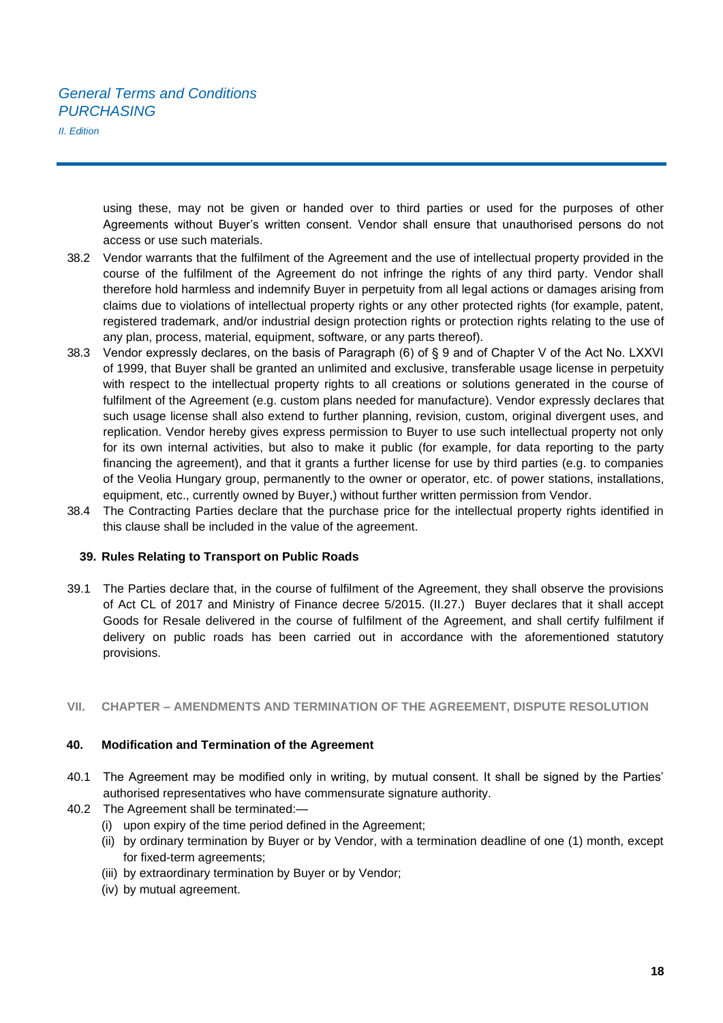using these, may not be given or handed over to third parties or used for the purposes of other Agreements without Buyer's written consent. Vendor shall ensure that unauthorised persons do not access or use such materials.

- 38.2 Vendor warrants that the fulfilment of the Agreement and the use of intellectual property provided in the course of the fulfilment of the Agreement do not infringe the rights of any third party. Vendor shall therefore hold harmless and indemnify Buyer in perpetuity from all legal actions or damages arising from claims due to violations of intellectual property rights or any other protected rights (for example, patent, registered trademark, and/or industrial design protection rights or protection rights relating to the use of any plan, process, material, equipment, software, or any parts thereof).
- 38.3 Vendor expressly declares, on the basis of Paragraph (6) of § 9 and of Chapter V of the Act No. LXXVI of 1999, that Buyer shall be granted an unlimited and exclusive, transferable usage license in perpetuity with respect to the intellectual property rights to all creations or solutions generated in the course of fulfilment of the Agreement (e.g. custom plans needed for manufacture). Vendor expressly declares that such usage license shall also extend to further planning, revision, custom, original divergent uses, and replication. Vendor hereby gives express permission to Buyer to use such intellectual property not only for its own internal activities, but also to make it public (for example, for data reporting to the party financing the agreement), and that it grants a further license for use by third parties (e.g. to companies of the Veolia Hungary group, permanently to the owner or operator, etc. of power stations, installations, equipment, etc., currently owned by Buyer,) without further written permission from Vendor.
- 38.4 The Contracting Parties declare that the purchase price for the intellectual property rights identified in this clause shall be included in the value of the agreement.

#### **39. Rules Relating to Transport on Public Roads**

39.1 The Parties declare that, in the course of fulfilment of the Agreement, they shall observe the provisions of Act CL of 2017 and Ministry of Finance decree 5/2015. (II.27.) Buyer declares that it shall accept Goods for Resale delivered in the course of fulfilment of the Agreement, and shall certify fulfilment if delivery on public roads has been carried out in accordance with the aforementioned statutory provisions.

#### **VII. CHAPTER – AMENDMENTS AND TERMINATION OF THE AGREEMENT, DISPUTE RESOLUTION**

#### **40. Modification and Termination of the Agreement**

- 40.1 The Agreement may be modified only in writing, by mutual consent. It shall be signed by the Parties' authorised representatives who have commensurate signature authority.
- 40.2 The Agreement shall be terminated:—
	- (i) upon expiry of the time period defined in the Agreement;
	- (ii) by ordinary termination by Buyer or by Vendor, with a termination deadline of one (1) month, except for fixed-term agreements;
	- (iii) by extraordinary termination by Buyer or by Vendor;
	- (iv) by mutual agreement.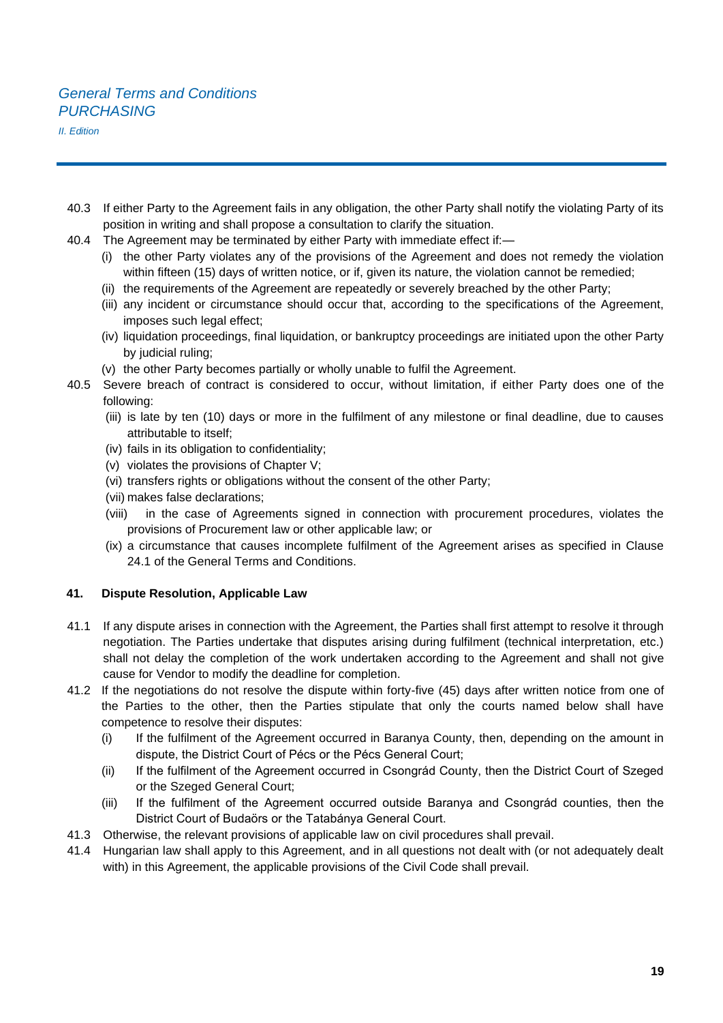- 40.3 If either Party to the Agreement fails in any obligation, the other Party shall notify the violating Party of its position in writing and shall propose a consultation to clarify the situation.
- 40.4 The Agreement may be terminated by either Party with immediate effect if:-
	- (i) the other Party violates any of the provisions of the Agreement and does not remedy the violation within fifteen (15) days of written notice, or if, given its nature, the violation cannot be remedied;
	- (ii) the requirements of the Agreement are repeatedly or severely breached by the other Party;
	- (iii) any incident or circumstance should occur that, according to the specifications of the Agreement, imposes such legal effect;
	- (iv) liquidation proceedings, final liquidation, or bankruptcy proceedings are initiated upon the other Party by judicial ruling;
	- (v) the other Party becomes partially or wholly unable to fulfil the Agreement.
- 40.5 Severe breach of contract is considered to occur, without limitation, if either Party does one of the following:
	- (iii) is late by ten (10) days or more in the fulfilment of any milestone or final deadline, due to causes attributable to itself;
	- (iv) fails in its obligation to confidentiality;
	- (v) violates the provisions of Chapter V;
	- (vi) transfers rights or obligations without the consent of the other Party;
	- (vii) makes false declarations;
	- (viii) in the case of Agreements signed in connection with procurement procedures, violates the provisions of Procurement law or other applicable law; or
	- (ix) a circumstance that causes incomplete fulfilment of the Agreement arises as specified in Clause 24.1 of the General Terms and Conditions.

# **41. Dispute Resolution, Applicable Law**

- 41.1 If any dispute arises in connection with the Agreement, the Parties shall first attempt to resolve it through negotiation. The Parties undertake that disputes arising during fulfilment (technical interpretation, etc.) shall not delay the completion of the work undertaken according to the Agreement and shall not give cause for Vendor to modify the deadline for completion.
- 41.2 If the negotiations do not resolve the dispute within forty-five (45) days after written notice from one of the Parties to the other, then the Parties stipulate that only the courts named below shall have competence to resolve their disputes:
	- (i) If the fulfilment of the Agreement occurred in Baranya County, then, depending on the amount in dispute, the District Court of Pécs or the Pécs General Court;
	- (ii) If the fulfilment of the Agreement occurred in Csongrád County, then the District Court of Szeged or the Szeged General Court;
	- (iii) If the fulfilment of the Agreement occurred outside Baranya and Csongrád counties, then the District Court of Budaörs or the Tatabánya General Court.
- 41.3 Otherwise, the relevant provisions of applicable law on civil procedures shall prevail.
- 41.4 Hungarian law shall apply to this Agreement, and in all questions not dealt with (or not adequately dealt with) in this Agreement, the applicable provisions of the Civil Code shall prevail.